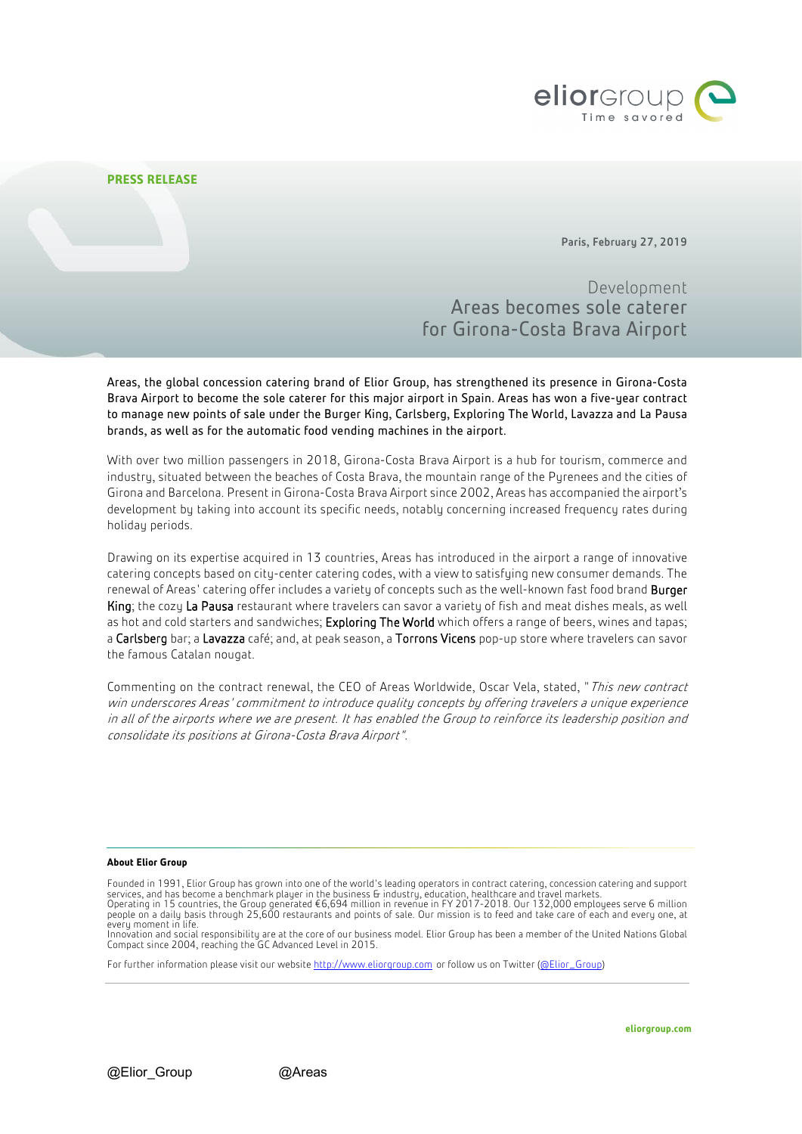

# **PRESS RELEASE**

Paris, February 27, 2019

Development Areas becomes sole caterer for Girona-Costa Brava Airport

Areas, the global concession catering brand of Elior Group, has strengthened its presence in Girona-Costa Brava Airport to become the sole caterer for this major airport in Spain. Areas has won a five-year contract to manage new points of sale under the Burger King, Carlsberg, Exploring The World, Lavazza and La Pausa brands, as well as for the automatic food vending machines in the airport.

With over two million passengers in 2018, Girona-Costa Brava Airport is a hub for tourism, commerce and industry, situated between the beaches of Costa Brava, the mountain range of the Purenees and the cities of Girona and Barcelona. Present in Girona-Costa Brava Airport since 2002, Areas has accompanied the airport's development by taking into account its specific needs, notably concerning increased frequency rates during holiday periods.

Drawing on its expertise acquired in 13 countries, Areas has introduced in the airport a range of innovative catering concepts based on city-center catering codes, with a view to satisfying new consumer demands. The renewal of Areas' catering offer includes a variety of concepts such as the well-known fast food brand **Burger** King; the cozy La Pausa restaurant where travelers can savor a variety of fish and meat dishes meals, as well as hot and cold starters and sandwiches; Exploring The World which offers a range of beers, wines and tapas; a Carlsberg bar; a Lavazza café; and, at peak season, a Torrons Vicens pop-up store where travelers can savor the famous Catalan nougat.

Commenting on the contract renewal, the CEO of Areas Worldwide, Oscar Vela, stated, "*This new contract* win underscores Areas' commitment to introduce quality concepts by offering travelers a unique experience in all of the airports where we are present. It has enabled the Group to reinforce its leadership position and consolidate its positions at Girona-Costa Brava Airport".

### **About Elior Group**

Innovation and social responsibility are at the core of our business model. Elior Group has been a member of the United Nations Global Compact since 2004, reaching the GC Advanced Level in 2015.

For further information please visit our websit[e http://www.eliorgroup.com](http://www.eliorgroup.com/) or follow us on Twitter [\(@Elior\\_Group\)](https://twitter.com/Elior_Group?lang=fr)

Founded in 1991, Elior Group has grown into one of the world's leading operators in contract catering, concession catering and support services, and has become a benchmark player in the business & industry, education, healthcare and travel markets.<br>Operating in 15 countries, the Group generated €6,694 million in revenue in FY 2017-2018. Our 132,000 emplo people on a daily basis through 25,600 restaurants and points of sale. Our mission is to feed and take care of each and every one, at every moment in life.